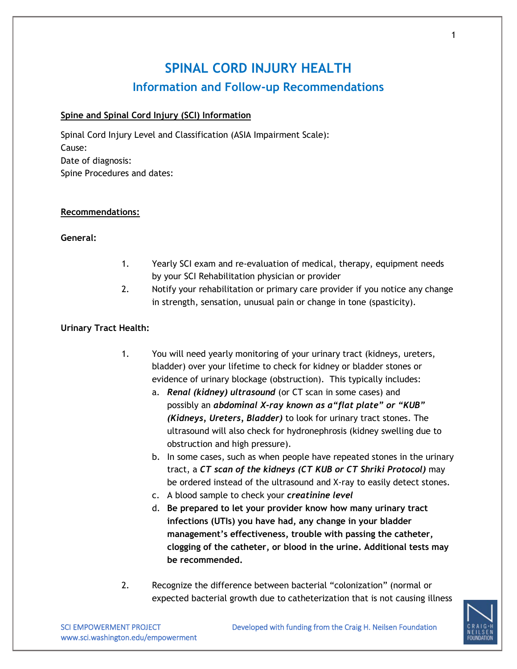# **SPINAL CORD INJURY HEALTH Information and Follow-up Recommendations**

# **Spine and Spinal Cord Injury (SCI) Information**

Spinal Cord Injury Level and Classification (ASIA Impairment Scale): Cause: Date of diagnosis: Spine Procedures and dates:

#### **Recommendations:**

## **General:**

- 1. Yearly SCI exam and re-evaluation of medical, therapy, equipment needs by your SCI Rehabilitation physician or provider
- 2. Notify your rehabilitation or primary care provider if you notice any change in strength, sensation, unusual pain or change in tone (spasticity).

## **Urinary Tract Health:**

- 1. You will need yearly monitoring of your urinary tract (kidneys, ureters, bladder) over your lifetime to check for kidney or bladder stones or evidence of urinary blockage (obstruction). This typically includes:
	- a. *Renal (kidney) ultrasound* (or CT scan in some cases) and possibly an *abdominal X-ray known as a"flat plate" or "KUB" (Kidneys, Ureters, Bladder)* to look for urinary tract stones. The ultrasound will also check for hydronephrosis (kidney swelling due to obstruction and high pressure).
	- b. In some cases, such as when people have repeated stones in the urinary tract, a *CT scan of the kidneys (CT KUB or CT Shriki Protocol)* may be ordered instead of the ultrasound and X-ray to easily detect stones.
	- c. A blood sample to check your *creatinine level*
	- d. **Be prepared to let your provider know how many urinary tract infections (UTIs) you have had, any change in your bladder management's effectiveness, trouble with passing the catheter, clogging of the catheter, or blood in the urine. Additional tests may be recommended.**
- 2. Recognize the difference between bacterial "colonization" (normal or expected bacterial growth due to catheterization that is not causing illness



1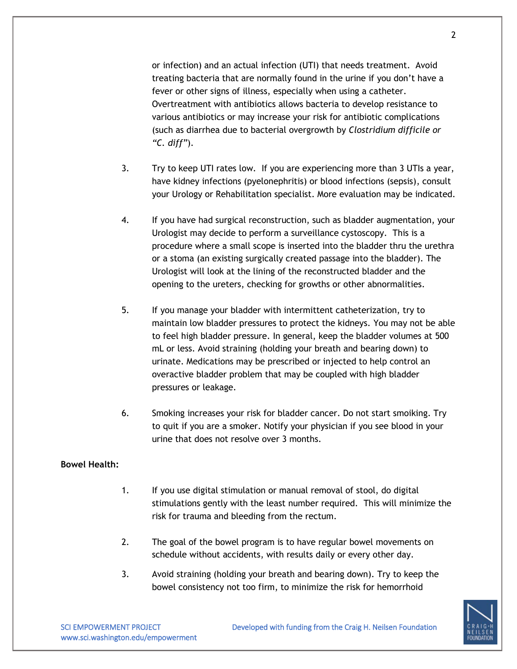or infection) and an actual infection (UTI) that needs treatment. Avoid treating bacteria that are normally found in the urine if you don't have a fever or other signs of illness, especially when using a catheter. Overtreatment with antibiotics allows bacteria to develop resistance to various antibiotics or may increase your risk for antibiotic complications (such as diarrhea due to bacterial overgrowth by *Clostridium difficile or "C. diff"*).

- 3. Try to keep UTI rates low. If you are experiencing more than 3 UTIs a year, have kidney infections (pyelonephritis) or blood infections (sepsis), consult your Urology or Rehabilitation specialist. More evaluation may be indicated.
- 4. If you have had surgical reconstruction, such as bladder augmentation, your Urologist may decide to perform a surveillance cystoscopy. This is a procedure where a small scope is inserted into the bladder thru the urethra or a stoma (an existing surgically created passage into the bladder). The Urologist will look at the lining of the reconstructed bladder and the opening to the ureters, checking for growths or other abnormalities.
- 5. If you manage your bladder with intermittent catheterization, try to maintain low bladder pressures to protect the kidneys. You may not be able to feel high bladder pressure. In general, keep the bladder volumes at 500 mL or less. Avoid straining (holding your breath and bearing down) to urinate. Medications may be prescribed or injected to help control an overactive bladder problem that may be coupled with high bladder pressures or leakage.
- 6. Smoking increases your risk for bladder cancer. Do not start smoiking. Try to quit if you are a smoker. Notify your physician if you see blood in your urine that does not resolve over 3 months.

## **Bowel Health:**

- 1. If you use digital stimulation or manual removal of stool, do digital stimulations gently with the least number required. This will minimize the risk for trauma and bleeding from the rectum.
- 2. The goal of the bowel program is to have regular bowel movements on schedule without accidents, with results daily or every other day.
- 3. Avoid straining (holding your breath and bearing down). Try to keep the bowel consistency not too firm, to minimize the risk for hemorrhoid

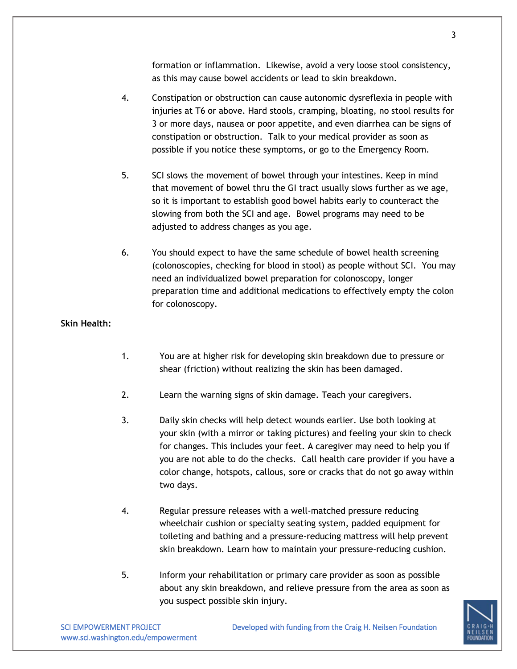formation or inflammation. Likewise, avoid a very loose stool consistency, as this may cause bowel accidents or lead to skin breakdown.

- 4. Constipation or obstruction can cause autonomic dysreflexia in people with injuries at T6 or above. Hard stools, cramping, bloating, no stool results for 3 or more days, nausea or poor appetite, and even diarrhea can be signs of constipation or obstruction. Talk to your medical provider as soon as possible if you notice these symptoms, or go to the Emergency Room.
- 5. SCI slows the movement of bowel through your intestines. Keep in mind that movement of bowel thru the GI tract usually slows further as we age, so it is important to establish good bowel habits early to counteract the slowing from both the SCI and age. Bowel programs may need to be adjusted to address changes as you age.
- 6. You should expect to have the same schedule of bowel health screening (colonoscopies, checking for blood in stool) as people without SCI. You may need an individualized bowel preparation for colonoscopy, longer preparation time and additional medications to effectively empty the colon for colonoscopy.

# **Skin Health:**

- 1. You are at higher risk for developing skin breakdown due to pressure or shear (friction) without realizing the skin has been damaged.
- 2. Learn the warning signs of skin damage. Teach your caregivers.
- 3. Daily skin checks will help detect wounds earlier. Use both looking at your skin (with a mirror or taking pictures) and feeling your skin to check for changes. This includes your feet. A caregiver may need to help you if you are not able to do the checks. Call health care provider if you have a color change, hotspots, callous, sore or cracks that do not go away within two days.
- 4. Regular pressure releases with a well-matched pressure reducing wheelchair cushion or specialty seating system, padded equipment for toileting and bathing and a pressure-reducing mattress will help prevent skin breakdown. Learn how to maintain your pressure-reducing cushion.
- 5. Inform your rehabilitation or primary care provider as soon as possible about any skin breakdown, and relieve pressure from the area as soon as you suspect possible skin injury.

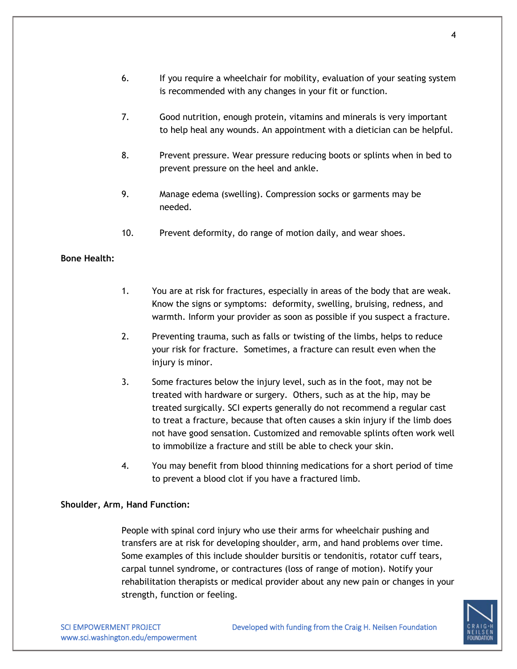- 6. If you require a wheelchair for mobility, evaluation of your seating system is recommended with any changes in your fit or function.
- 7. Good nutrition, enough protein, vitamins and minerals is very important to help heal any wounds. An appointment with a dietician can be helpful.
- 8. Prevent pressure. Wear pressure reducing boots or splints when in bed to prevent pressure on the heel and ankle.
- 9. Manage edema (swelling). Compression socks or garments may be needed.
- 10. Prevent deformity, do range of motion daily, and wear shoes.

# **Bone Health:**

- 1. You are at risk for fractures, especially in areas of the body that are weak. Know the signs or symptoms: deformity, swelling, bruising, redness, and warmth. Inform your provider as soon as possible if you suspect a fracture.
- 2. Preventing trauma, such as falls or twisting of the limbs, helps to reduce your risk for fracture. Sometimes, a fracture can result even when the injury is minor.
- 3. Some fractures below the injury level, such as in the foot, may not be treated with hardware or surgery. Others, such as at the hip, may be treated surgically. SCI experts generally do not recommend a regular cast to treat a fracture, because that often causes a skin injury if the limb does not have good sensation. Customized and removable splints often work well to immobilize a fracture and still be able to check your skin.
- 4. You may benefit from blood thinning medications for a short period of time to prevent a blood clot if you have a fractured limb.

# **Shoulder, Arm, Hand Function:**

People with spinal cord injury who use their arms for wheelchair pushing and transfers are at risk for developing shoulder, arm, and hand problems over time. Some examples of this include shoulder bursitis or tendonitis, rotator cuff tears, carpal tunnel syndrome, or contractures (loss of range of motion). Notify your rehabilitation therapists or medical provider about any new pain or changes in your strength, function or feeling.



www.sci.washington.edu/empowerment